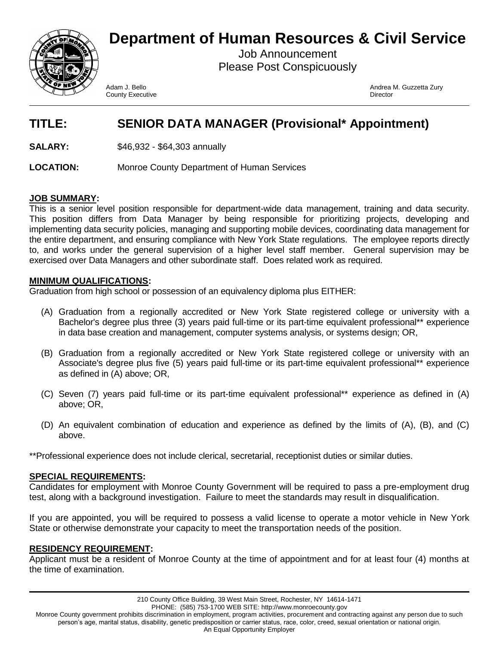

# **Department of Human Resources & Civil Service**

Job Announcement Please Post Conspicuously

**County Executive County Executive County Executive County Executive County Executive County Executive County Act and Act of Act of Act of Act of Act of Act of Act of Act of Act of Act of Act of Act of Act of Act of Act of** 

Adam J. Bello Andrea M. Guzzetta Zury

## **TITLE: SENIOR DATA MANAGER (Provisional\* Appointment)**

**SALARY:** \$46,932 - \$64,303 annually

**LOCATION:** Monroe County Department of Human Services

### **JOB SUMMARY:**

This is a senior level position responsible for department-wide data management, training and data security. This position differs from Data Manager by being responsible for prioritizing projects, developing and implementing data security policies, managing and supporting mobile devices, coordinating data management for the entire department, and ensuring compliance with New York State regulations. The employee reports directly to, and works under the general supervision of a higher level staff member. General supervision may be exercised over Data Managers and other subordinate staff. Does related work as required.

### **MINIMUM QUALIFICATIONS:**

Graduation from high school or possession of an equivalency diploma plus EITHER:

- (A) Graduation from a regionally accredited or New York State registered college or university with a Bachelor's degree plus three (3) years paid full-time or its part-time equivalent professional\*\* experience in data base creation and management, computer systems analysis, or systems design; OR,
- (B) Graduation from a regionally accredited or New York State registered college or university with an Associate's degree plus five (5) years paid full-time or its part-time equivalent professional\*\* experience as defined in (A) above; OR,
- (C) Seven (7) years paid full-time or its part-time equivalent professional\*\* experience as defined in (A) above; OR,
- (D) An equivalent combination of education and experience as defined by the limits of (A), (B), and (C) above.

\*\*Professional experience does not include clerical, secretarial, receptionist duties or similar duties.

### **SPECIAL REQUIREMENTS:**

Candidates for employment with Monroe County Government will be required to pass a pre-employment drug test, along with a background investigation. Failure to meet the standards may result in disqualification.

If you are appointed, you will be required to possess a valid license to operate a motor vehicle in New York State or otherwise demonstrate your capacity to meet the transportation needs of the position.

### **RESIDENCY REQUIREMENT:**

Applicant must be a resident of Monroe County at the time of appointment and for at least four (4) months at the time of examination.